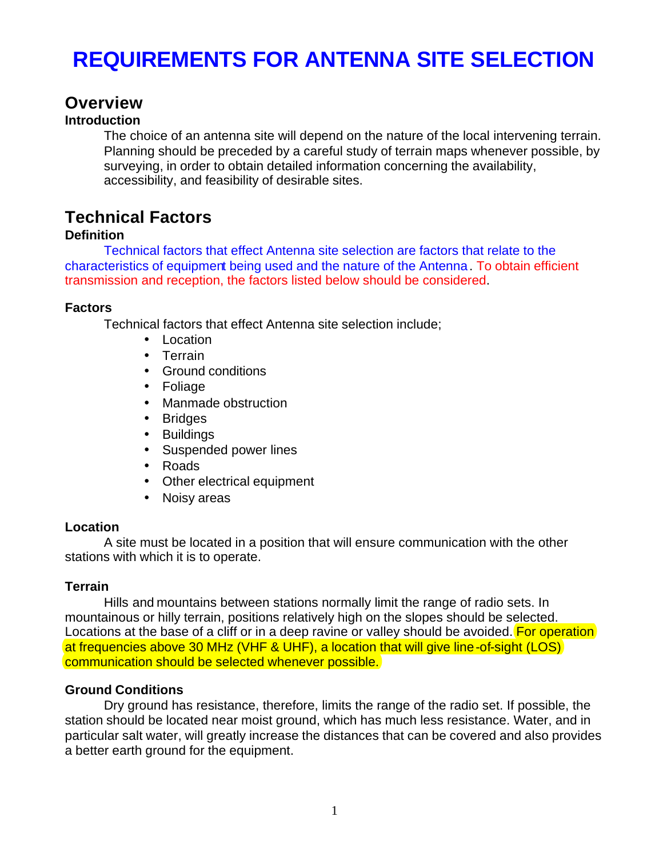# **REQUIREMENTS FOR ANTENNA SITE SELECTION**

# **Overview**

# **Introduction**

The choice of an antenna site will depend on the nature of the local intervening terrain. Planning should be preceded by a careful study of terrain maps whenever possible, by surveying, in order to obtain detailed information concerning the availability, accessibility, and feasibility of desirable sites.

# **Technical Factors**

#### **Definition**

Technical factors that effect Antenna site selection are factors that relate to the characteristics of equipment being used and the nature of the Antenna. To obtain efficient transmission and reception, the factors listed below should be considered.

#### **Factors**

Technical factors that effect Antenna site selection include;

- Location
- Terrain
- Ground conditions
- Foliage
- Manmade obstruction
- Bridges
- Buildings
- Suspended power lines
- Roads
- Other electrical equipment
- Noisy areas

#### **Location**

A site must be located in a position that will ensure communication with the other stations with which it is to operate.

#### **Terrain**

Hills and mountains between stations normally limit the range of radio sets. In mountainous or hilly terrain, positions relatively high on the slopes should be selected. Locations at the base of a cliff or in a deep ravine or valley should be avoided. For operation at frequencies above 30 MHz (VHF & UHF), a location that will give line-of-sight (LOS) communication should be selected whenever possible.

#### **Ground Conditions**

Dry ground has resistance, therefore, limits the range of the radio set. If possible, the station should be located near moist ground, which has much less resistance. Water, and in particular salt water, will greatly increase the distances that can be covered and also provides a better earth ground for the equipment.